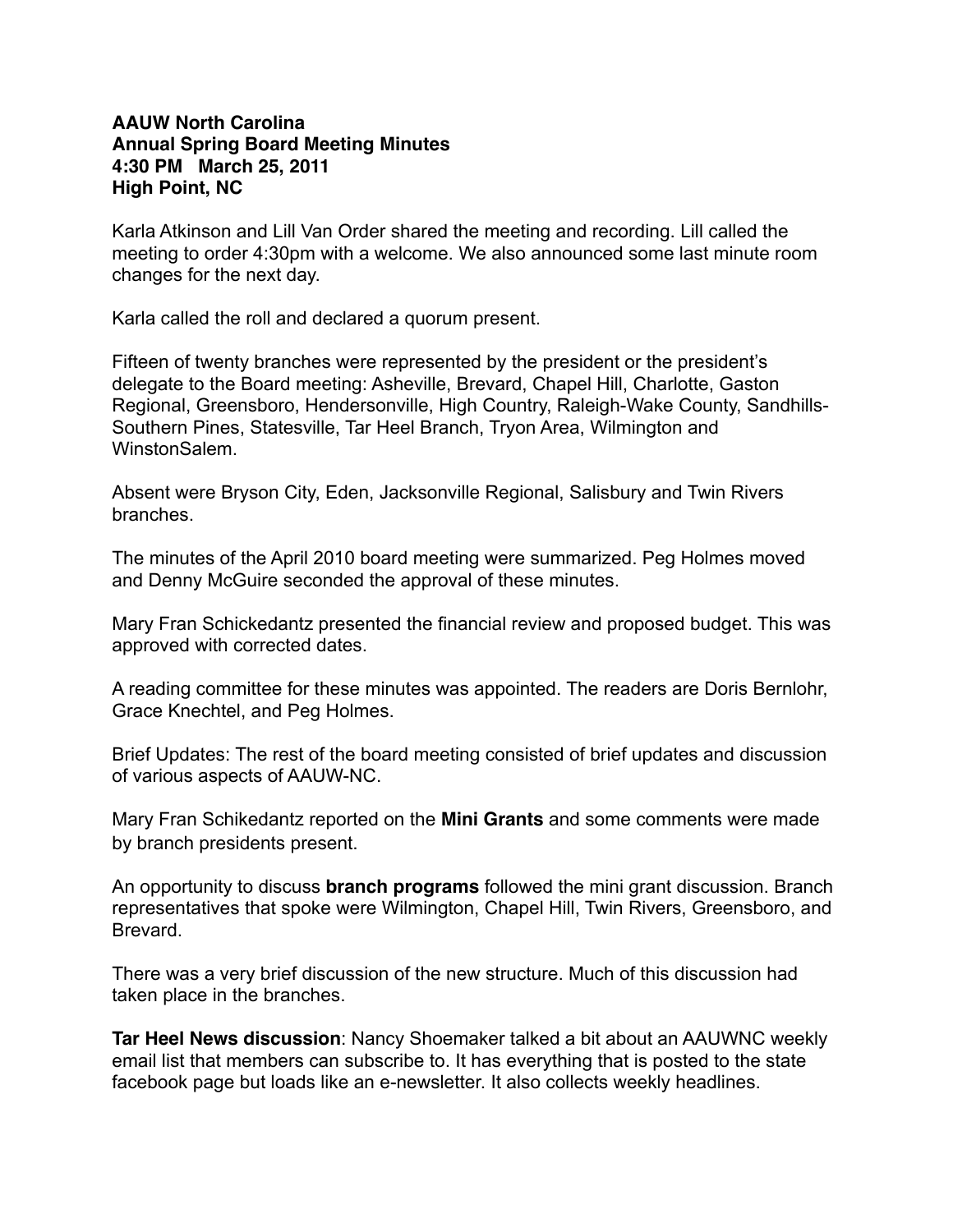## **AAUW North Carolina Annual Spring Board Meeting Minutes 4:30 PM March 25, 2011 High Point, NC**

Karla Atkinson and Lill Van Order shared the meeting and recording. Lill called the meeting to order 4:30pm with a welcome. We also announced some last minute room changes for the next day.

Karla called the roll and declared a quorum present.

Fifteen of twenty branches were represented by the president or the president's delegate to the Board meeting: Asheville, Brevard, Chapel Hill, Charlotte, Gaston Regional, Greensboro, Hendersonville, High Country, Raleigh-Wake County, Sandhills-Southern Pines, Statesville, Tar Heel Branch, Tryon Area, Wilmington and WinstonSalem.

Absent were Bryson City, Eden, Jacksonville Regional, Salisbury and Twin Rivers branches.

The minutes of the April 2010 board meeting were summarized. Peg Holmes moved and Denny McGuire seconded the approval of these minutes.

Mary Fran Schickedantz presented the financial review and proposed budget. This was approved with corrected dates.

A reading committee for these minutes was appointed. The readers are Doris Bernlohr, Grace Knechtel, and Peg Holmes.

Brief Updates: The rest of the board meeting consisted of brief updates and discussion of various aspects of AAUW-NC.

Mary Fran Schikedantz reported on the **Mini Grants** and some comments were made by branch presidents present.

An opportunity to discuss **branch programs** followed the mini grant discussion. Branch representatives that spoke were Wilmington, Chapel Hill, Twin Rivers, Greensboro, and Brevard.

There was a very brief discussion of the new structure. Much of this discussion had taken place in the branches.

**Tar Heel News discussion**: Nancy Shoemaker talked a bit about an AAUWNC weekly email list that members can subscribe to. It has everything that is posted to the state facebook page but loads like an e-newsletter. It also collects weekly headlines.